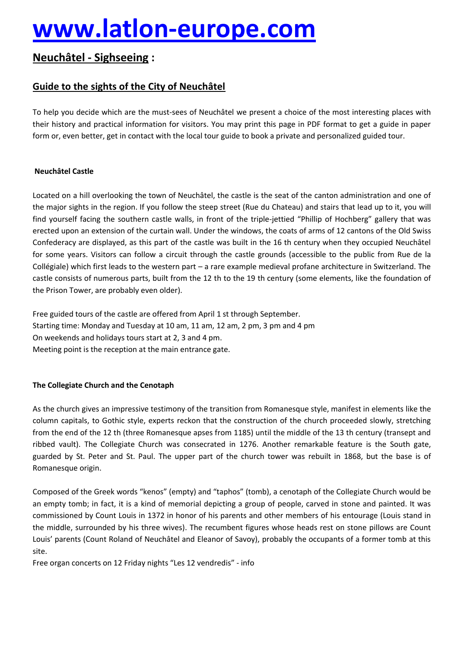# **[www.latlon-europe.com](http://www.latlon-europe.com)**

# **NeuchÄtel - Sighseeing :**

## **Guide to the sights of the City of NeuchÄtel**

To help you decide which are the must-sees of NeuchÄtel we present a choice of the most interesting places with their history and practical information for visitors. You may print this page in PDF format to get a guide in paper form or, even better, get in contact with the local tour guide to book a private and personalized guided tour.

## **NeuchÄtel Castle**

Located on a hill overlooking the town of NeuchÄtel, the castle is the seat of the canton administration and one of the major sights in the region. If you follow the steep street (Rue du Chateau) and stairs that lead up to it, you will find yourself facing the southern castle walls, in front of the triple-jettied "Phillip of Hochberg" gallery that was erected upon an extension of the curtain wall. Under the windows, the coats of arms of 12 cantons of the Old Swiss Confederacy are displayed, as this part of the castle was built in the 16 th century when they occupied NeuchÄtel for some years. Visitors can follow a circuit through the castle grounds (accessible to the public from Rue de la CollÉgiale) which first leads to the western part – a rare example medieval profane architecture in Switzerland. The castle consists of numerous parts, built from the 12 th to the 19 th century (some elements, like the foundation of the Prison Tower, are probably even older).

Free guided tours of the castle are offered from April 1 st through September. Starting time: Monday and Tuesday at 10 am, 11 am, 12 am, 2 pm, 3 pm and 4 pm On weekends and holidays tours start at 2, 3 and 4 pm. Meeting point is the reception at the main entrance gate.

## **The Collegiate Church and the Cenotaph**

As the church gives an impressive testimony of the transition from Romanesque style, manifest in elements like the column capitals, to Gothic style, experts reckon that the construction of the church proceeded slowly, stretching from the end of the 12 th (three Romanesque apses from 1185) until the middle of the 13 th century (transept and ribbed vault). The Collegiate Church was consecrated in 1276. Another remarkable feature is the South gate, guarded by St. Peter and St. Paul. The upper part of the church tower was rebuilt in 1868, but the base is of Romanesque origin.

Composed of the Greek words "kenos" (empty) and "taphos" (tomb), a cenotaph of the Collegiate Church would be an empty tomb; in fact, it is a kind of memorial depicting a group of people, carved in stone and painted. It was commissioned by Count Louis in 1372 in honor of his parents and other members of his entourage (Louis stand in the middle, surrounded by his three wives). The recumbent figures whose heads rest on stone pillows are Count Louis' parents (Count Roland of NeuchÄtel and Eleanor of Savoy), probably the occupants of a former tomb at this site.

Free organ concerts on 12 Friday nights "Les 12 vendredis" - info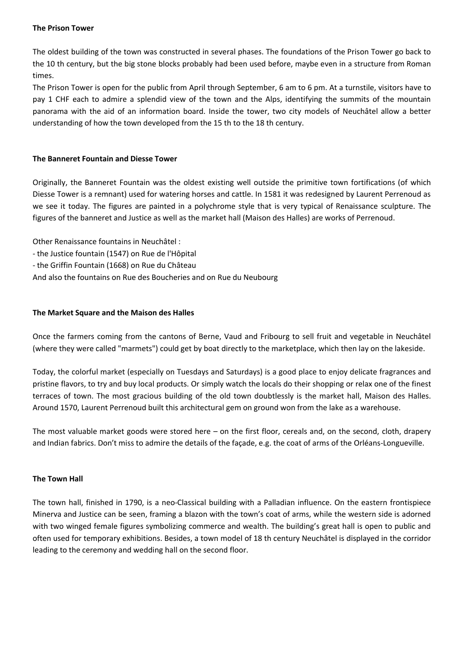#### **The Prison Tower**

The oldest building of the town was constructed in several phases. The foundations of the Prison Tower go back to the 10 th century, but the big stone blocks probably had been used before, maybe even in a structure from Roman times.

The Prison Tower is open for the public from April through September, 6 am to 6 pm. At a turnstile, visitors have to pay 1 CHF each to admire a splendid view of the town and the Alps, identifying the summits of the mountain panorama with the aid of an information board. Inside the tower, two city models of Neuchâtel allow a better understanding of how the town developed from the 15 th to the 18 th century.

#### **The Banneret Fountain and Diesse Tower**

Originally, the Banneret Fountain was the oldest existing well outside the primitive town fortifications (of which Diesse Tower is a remnant) used for watering horses and cattle. In 1581 it was redesigned by Laurent Perrenoud as we see it today. The figures are painted in a polychrome style that is very typical of Renaissance sculpture. The figures of the banneret and Justice as well as the market hall (Maison des Halles) are works of Perrenoud.

Other Renaissance fountains in NeuchÄtel :

- the Justice fountain (1547) on Rue de l'Hôpital
- the Griffin Fountain (1668) on Rue du ChÄteau
- And also the fountains on Rue des Boucheries and on Rue du Neubourg

#### **The Market Square and the Maison des Halles**

Once the farmers coming from the cantons of Berne, Vaud and Fribourg to sell fruit and vegetable in NeuchÄtel (where they were called "marmets") could get by boat directly to the marketplace, which then lay on the lakeside.

Today, the colorful market (especially on Tuesdays and Saturdays) is a good place to enjoy delicate fragrances and pristine flavors, to try and buy local products. Or simply watch the locals do their shopping or relax one of the finest terraces of town. The most gracious building of the old town doubtlessly is the market hall, Maison des Halles. Around 1570, Laurent Perrenoud built this architectural gem on ground won from the lake as a warehouse.

The most valuable market goods were stored here – on the first floor, cereals and, on the second, cloth, drapery and Indian fabrics. Don't miss to admire the details of the façade, e.g. the coat of arms of the Orléans-Longueville.

#### **The Town Hall**

The town hall, finished in 1790, is a neo-Classical building with a Palladian influence. On the eastern frontispiece Minerva and Justice can be seen, framing a blazon with the town's coat of arms, while the western side is adorned with two winged female figures symbolizing commerce and wealth. The building's great hall is open to public and often used for temporary exhibitions. Besides, a town model of 18 th century NeuchÄtel is displayed in the corridor leading to the ceremony and wedding hall on the second floor.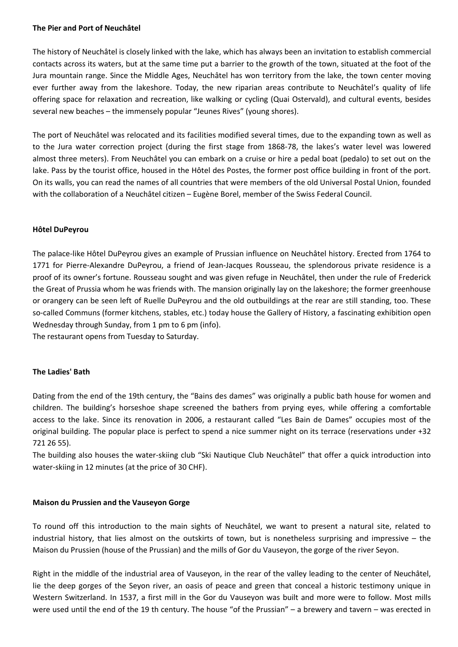#### **The Pier and Port of NeuchÄtel**

The history of NeuchÄtel is closely linked with the lake, which has always been an invitation to establish commercial contacts across its waters, but at the same time put a barrier to the growth of the town, situated at the foot of the Jura mountain range. Since the Middle Ages, NeuchÄtel has won territory from the lake, the town center moving ever further away from the lakeshore. Today, the new riparian areas contribute to Neuchâtel's quality of life offering space for relaxation and recreation, like walking or cycling (Quai Ostervald), and cultural events, besides several new beaches – the immensely popular "Jeunes Rives" (young shores).

The port of NeuchÄtel was relocated and its facilities modified several times, due to the expanding town as well as to the Jura water correction project (during the first stage from 1868-78, the lakes's water level was lowered almost three meters). From NeuchÄtel you can embark on a cruise or hire a pedal boat (pedalo) to set out on the lake. Pass by the tourist office, housed in the Hôtel des Postes, the former post office building in front of the port. On its walls, you can read the names of all countries that were members of the old Universal Postal Union, founded with the collaboration of a Neuchâtel citizen – Eugène Borel, member of the Swiss Federal Council.

#### **HÅtel DuPeyrou**

The palace-like Hôtel DuPeyrou gives an example of Prussian influence on Neuchâtel history. Erected from 1764 to 1771 for Pierre-Alexandre DuPeyrou, a friend of Jean-Jacques Rousseau, the splendorous private residence is a proof of its owner's fortune. Rousseau sought and was given refuge in Neuchâtel, then under the rule of Frederick the Great of Prussia whom he was friends with. The mansion originally lay on the lakeshore; the former greenhouse or orangery can be seen left of Ruelle DuPeyrou and the old outbuildings at the rear are still standing, too. These so-called Communs (former kitchens, stables, etc.) today house the Gallery of History, a fascinating exhibition open Wednesday through Sunday, from 1 pm to 6 pm (info).

The restaurant opens from Tuesday to Saturday.

#### **The Ladies' Bath**

Dating from the end of the 19th century, the "Bains des dames" was originally a public bath house for women and children. The building's horseshoe shape screened the bathers from prying eyes, while offering a comfortable access to the lake. Since its renovation in 2006, a restaurant called "Les Bain de Dames" occupies most of the original building. The popular place is perfect to spend a nice summer night on its terrace (reservations under +32 721 26 55).

The building also houses the water-skiing club "Ski Nautique Club Neuchâtel" that offer a quick introduction into water-skiing in 12 minutes (at the price of 30 CHF).

#### **Maison du Prussien and the Vauseyon Gorge**

To round off this introduction to the main sights of NeuchÄtel, we want to present a natural site, related to industrial history, that lies almost on the outskirts of town, but is nonetheless surprising and impressive – the Maison du Prussien (house of the Prussian) and the mills of Gor du Vauseyon, the gorge of the river Seyon.

Right in the middle of the industrial area of Vauseyon, in the rear of the valley leading to the center of NeuchÄtel, lie the deep gorges of the Seyon river, an oasis of peace and green that conceal a historic testimony unique in Western Switzerland. In 1537, a first mill in the Gor du Vauseyon was built and more were to follow. Most mills were used until the end of the 19 th century. The house "of the Prussian" – a brewery and tavern – was erected in